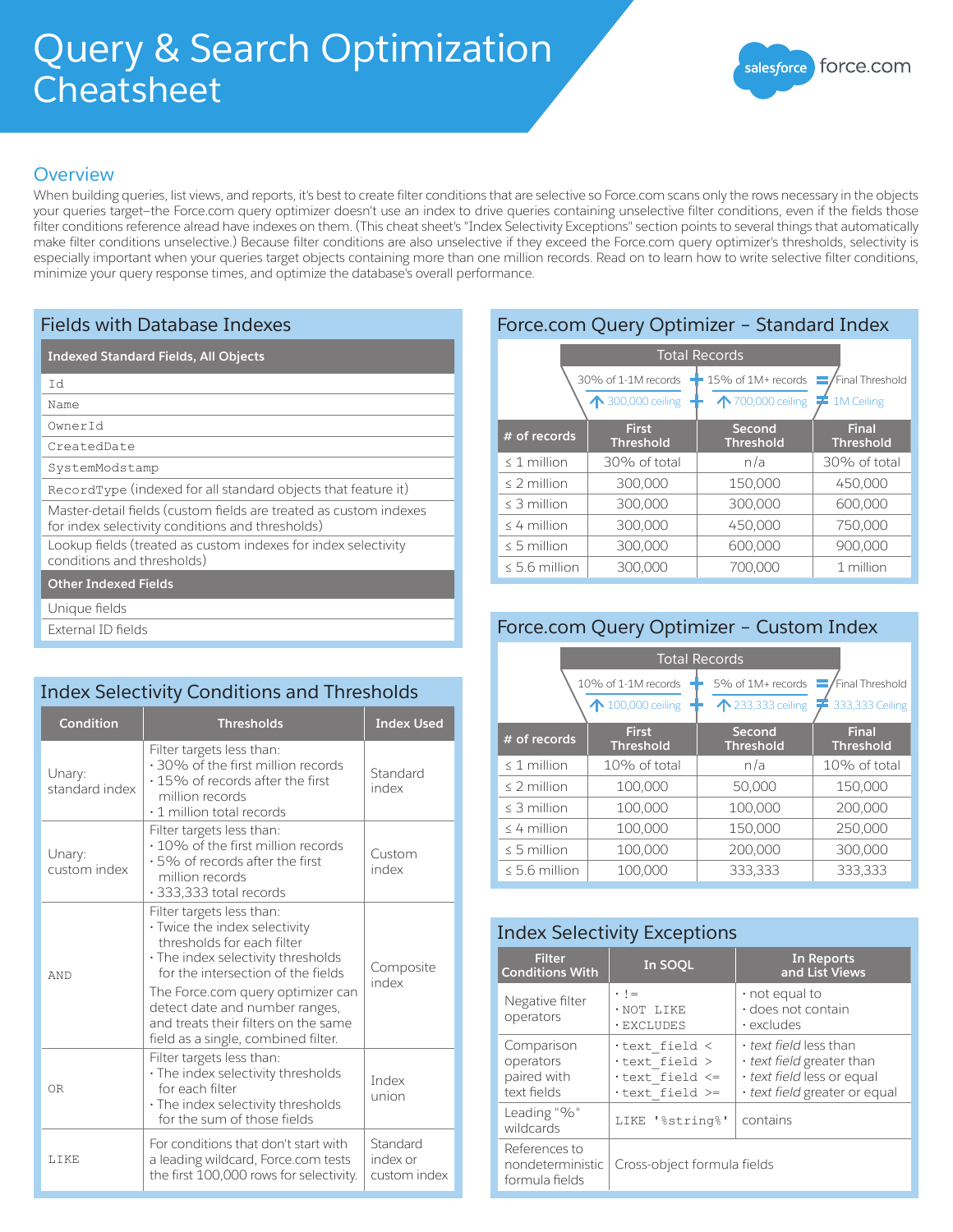# Query & Search Optimization **Cheatsheet**



## **Overview**

When building queries, list views, and reports, it's best to create filter conditions that are selective so Force.com scans only the rows necessary in the objects your queries target—the Force.com query optimizer doesn't use an index to drive queries containing unselective filter conditions, even if the fields those filter conditions reference alread have indexes on them. (This cheat sheet's "Index Selectivity Exceptions" section points to several things that automatically make filter conditions unselective.) Because filter conditions are also unselective if they exceed the Force.com query optimizer's thresholds, selectivity is especially important when your queries target objects containing more than one million records. Read on to learn how to write selective filter conditions, minimize your query response times, and optimize the database's overall performance.

## Fields with Database Indexes

#### **Indexed Standard Fields, All Objects**

Name

OwnerId

CreatedDate

SystemModstamp

RecordType (indexed for all standard objects that feature it)

Master-detail fields (custom fields are treated as custom indexes

for index selectivity conditions and thresholds)

Lookup fields (treated as custom indexes for index selectivity conditions and thresholds)

#### **Other Indexed Fields**

Unique fields

External ID fields

## Index Selectivity Conditions and Thresholds

| <b>Condition</b>         | <b>Thresholds</b>                                                                                                                                                                                                                                                                                                          | <b>Index Used</b>                    |
|--------------------------|----------------------------------------------------------------------------------------------------------------------------------------------------------------------------------------------------------------------------------------------------------------------------------------------------------------------------|--------------------------------------|
| Unary:<br>standard index | Filter targets less than:<br>.30% of the first million records<br>$\cdot$ 15% of records after the first<br>million records<br>$\cdot$ 1 million total records                                                                                                                                                             | Standard<br>index                    |
| Unary:<br>custom index   | Filter targets less than:<br>• 10% of the first million records<br>$\cdot$ 5% of records after the first<br>million records<br>· 333,333 total records                                                                                                                                                                     | Custom<br>index                      |
| AND                      | Filter targets less than:<br>· Twice the index selectivity<br>thresholds for each filter<br>· The index selectivity thresholds<br>for the intersection of the fields<br>The Force.com query optimizer can<br>detect date and number ranges,<br>and treats their filters on the same<br>field as a single, combined filter. | Composite<br>index                   |
| 0 <sub>R</sub>           | Filter targets less than:<br>· The index selectivity thresholds<br>for each filter<br>· The index selectivity thresholds<br>for the sum of those fields                                                                                                                                                                    | Index<br>union                       |
| LIKE                     | For conditions that don't start with<br>a leading wildcard, Force.com tests<br>the first 100,000 rows for selectivity.                                                                                                                                                                                                     | Standard<br>index or<br>custom index |

| # of records         | <b>First</b><br><b>Threshold</b>         | Second<br><b>Threshold</b>                                                                                        | <b>Final</b><br><b>Threshold</b> |
|----------------------|------------------------------------------|-------------------------------------------------------------------------------------------------------------------|----------------------------------|
|                      | 30% of 1-1M records<br>↑ 300,000 ceiling | $\blacksquare$ 15% of 1M+ records $\blacksquare$ Final Threshold<br>$\bigwedge$ 700,000 ceiling $\neq$ 1M Ceiling |                                  |
| <b>Total Records</b> |                                          |                                                                                                                   |                                  |
|                      |                                          | Protection Query Openinizer Standard Index                                                                        |                                  |

Force.com Query Optimizer – Standard Index

| $\leq 1$ million   | 30% of total | n/a     | 30% of total |
|--------------------|--------------|---------|--------------|
| $\leq$ 2 million   | 300,000      | 150,000 | 450,000      |
| $\leq$ 3 million   | 300,000      | 300,000 | 600,000      |
| $\leq 4$ million   | 300,000      | 450,000 | 750,000      |
| $\leq$ 5 million   | 300,000      | 600,000 | 900,000      |
| $\leq 5.6$ million | 300,000      | 700,000 | 1 million    |

## Force.com Query Optimizer – Custom Index

| <b>Total Records</b> |                                        |                                        |                                    |  |
|----------------------|----------------------------------------|----------------------------------------|------------------------------------|--|
|                      | 10% of 1-1M records<br>100,000 ceiling | 5% of 1M+ records<br>↑ 233,333 ceiling | Final Threshold<br>333,333 Ceiling |  |
| # of records         | <b>First</b><br><b>Threshold</b>       | Second<br><b>Threshold</b>             | Final<br><b>Threshold</b>          |  |
| $\leq$ 1 million     | 10% of total                           | n/a                                    | 10% of total                       |  |
| $\leq$ 2 million     | 100,000                                | 50,000                                 | 150,000                            |  |
| $\leq$ 3 million     | 100,000                                | 100,000                                | 200,000                            |  |
| $\leq$ 4 million     | 100,000                                | 150,000                                | 250,000                            |  |
| $\leq$ 5 million     | 100,000                                | 200,000                                | 300,000                            |  |
| $\leq 5.6$ million   | 100,000                                | 333,333                                | 333,333                            |  |

## Index Selectivity Exceptions

| <b>Filter</b><br><b>Conditions With</b>               | In SOQL                                                        | In Reports<br>and List Views                                                                                     |  |
|-------------------------------------------------------|----------------------------------------------------------------|------------------------------------------------------------------------------------------------------------------|--|
| Negative filter<br>operators                          | $\cdot$ $\cdot$ =<br>· NOT LIKE<br>· EXCLUDES                  | $\cdot$ not equal to<br>· does not contain<br>$\cdot$ excludes                                                   |  |
| Comparison<br>operators<br>paired with<br>text fields | text field <<br>text field ><br>text field <=<br>text field >= | • text field less than<br>· text field greater than<br>· text field less or equal<br>text field greater or equal |  |
| Leading "%"<br>wildcards                              | LIKE '%string%'                                                | contains                                                                                                         |  |
| References to<br>nondeterministic<br>formula fields   | Cross-object formula fields                                    |                                                                                                                  |  |